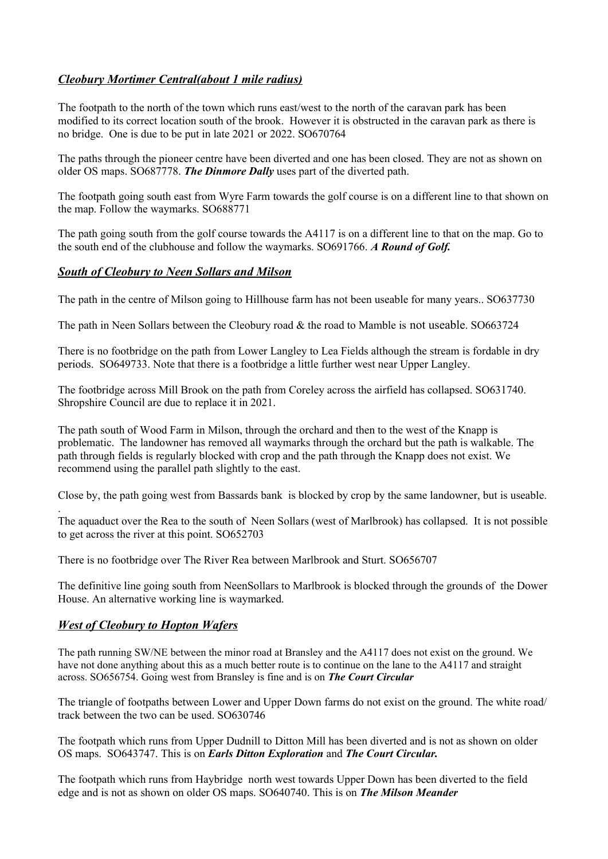# *Cleobury Mortimer Central(about 1 mile radius)*

The footpath to the north of the town which runs east/west to the north of the caravan park has been modified to its correct location south of the brook. However it is obstructed in the caravan park as there is no bridge. One is due to be put in late 2021 or 2022. SO670764

The paths through the pioneer centre have been diverted and one has been closed. They are not as shown on older OS maps. SO687778. *The Dinmore Dally* uses part of the diverted path.

The footpath going south east from Wyre Farm towards the golf course is on a different line to that shown on the map. Follow the waymarks. SO688771

The path going south from the golf course towards the A4117 is on a different line to that on the map. Go to the south end of the clubhouse and follow the waymarks. SO691766. *A Round of Golf.*

#### *South of Cleobury to Neen Sollars and Milson*

The path in the centre of Milson going to Hillhouse farm has not been useable for many years.. SO637730

The path in Neen Sollars between the Cleobury road & the road to Mamble is not useable. SO663724

There is no footbridge on the path from Lower Langley to Lea Fields although the stream is fordable in dry periods. SO649733. Note that there is a footbridge a little further west near Upper Langley.

The footbridge across Mill Brook on the path from Coreley across the airfield has collapsed. SO631740. Shropshire Council are due to replace it in 2021.

The path south of Wood Farm in Milson, through the orchard and then to the west of the Knapp is problematic. The landowner has removed all waymarks through the orchard but the path is walkable. The path through fields is regularly blocked with crop and the path through the Knapp does not exist. We recommend using the parallel path slightly to the east.

Close by, the path going west from Bassards bank is blocked by crop by the same landowner, but is useable.

The aquaduct over the Rea to the south of Neen Sollars (west of Marlbrook) has collapsed. It is not possible to get across the river at this point. SO652703

There is no footbridge over The River Rea between Marlbrook and Sturt. SO656707

The definitive line going south from NeenSollars to Marlbrook is blocked through the grounds of the Dower House. An alternative working line is waymarked.

### *West of Cleobury to Hopton Wafers*

.

The path running SW/NE between the minor road at Bransley and the A4117 does not exist on the ground. We have not done anything about this as a much better route is to continue on the lane to the A4117 and straight across. SO656754. Going west from Bransley is fine and is on *The Court Circular*

The triangle of footpaths between Lower and Upper Down farms do not exist on the ground. The white road/ track between the two can be used. SO630746

The footpath which runs from Upper Dudnill to Ditton Mill has been diverted and is not as shown on older OS maps. SO643747. This is on *Earls Ditton Exploration* and *The Court Circular.*

The footpath which runs from Haybridge north west towards Upper Down has been diverted to the field edge and is not as shown on older OS maps. SO640740. This is on *The Milson Meander*